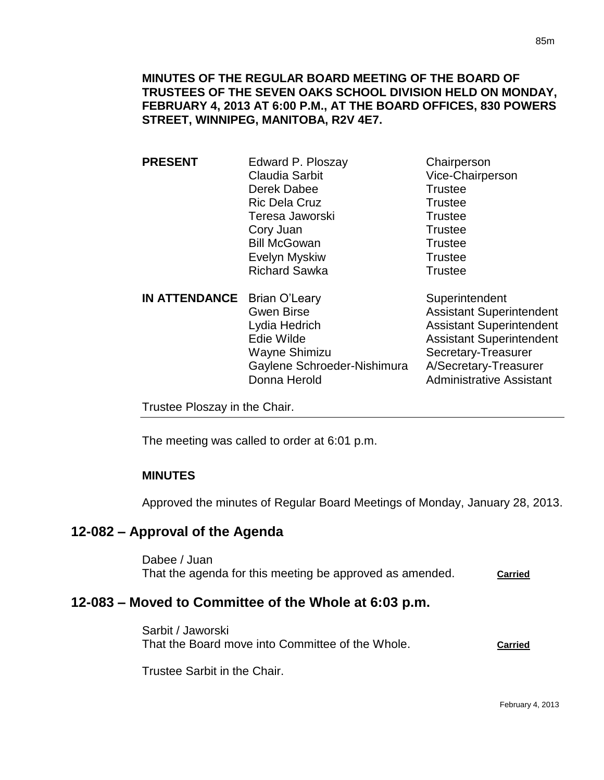# **MINUTES OF THE REGULAR BOARD MEETING OF THE BOARD OF TRUSTEES OF THE SEVEN OAKS SCHOOL DIVISION HELD ON MONDAY, FEBRUARY 4, 2013 AT 6:00 P.M., AT THE BOARD OFFICES, 830 POWERS STREET, WINNIPEG, MANITOBA, R2V 4E7.**

| <b>PRESENT</b>                     | Edward P. Ploszay     | Chairperson                     |
|------------------------------------|-----------------------|---------------------------------|
|                                    | <b>Claudia Sarbit</b> | Vice-Chairperson                |
|                                    | Derek Dabee           | <b>Trustee</b>                  |
|                                    | <b>Ric Dela Cruz</b>  | <b>Trustee</b>                  |
|                                    | Teresa Jaworski       | <b>Trustee</b>                  |
|                                    | Cory Juan             | <b>Trustee</b>                  |
|                                    | <b>Bill McGowan</b>   | <b>Trustee</b>                  |
|                                    | Evelyn Myskiw         | <b>Trustee</b>                  |
|                                    | <b>Richard Sawka</b>  | <b>Trustee</b>                  |
| <b>IN ATTENDANCE</b> Brian O'Leary |                       | Superintendent                  |
|                                    | <b>Gwen Birse</b>     | <b>Assistant Superintendent</b> |
|                                    |                       |                                 |

Lydia Hedrich **Assistant Superintendent**<br>
Edie Wilde **Assistant Superintendent** Wayne Shimizu Secretary-Treasurer Gaylene Schroeder-Nishimura A/Secretary-Treasurer Donna Herold **Administrative Assistant** 

**Assistant Superintendent** 

Trustee Ploszay in the Chair.

The meeting was called to order at 6:01 p.m.

# **MINUTES**

Approved the minutes of Regular Board Meetings of Monday, January 28, 2013.

# **12-082 – Approval of the Agenda**

Dabee / Juan That the agenda for this meeting be approved as amended. **Carried** 

# **12-083 – Moved to Committee of the Whole at 6:03 p.m.**

Sarbit / Jaworski That the Board move into Committee of the Whole. **Carried**

Trustee Sarbit in the Chair.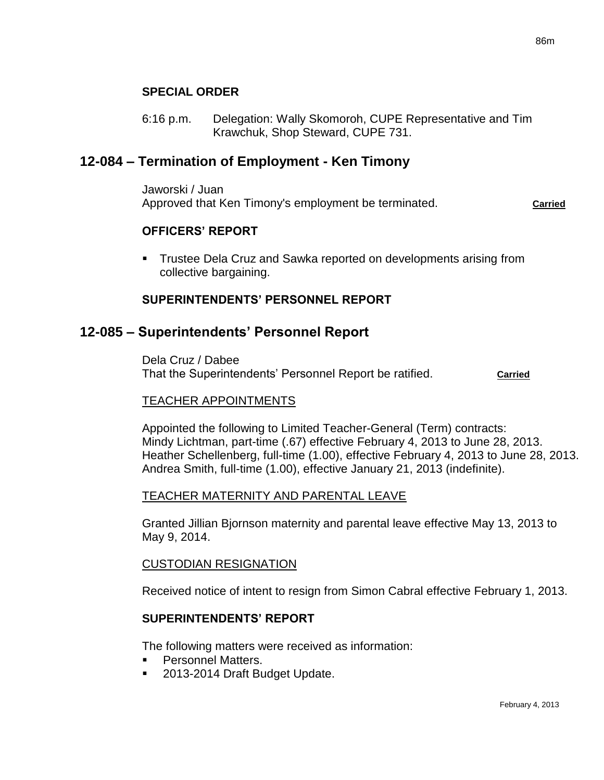# **SPECIAL ORDER**

6:16 p.m. Delegation: Wally Skomoroh, CUPE Representative and Tim Krawchuk, Shop Steward, CUPE 731.

# **12-084 – Termination of Employment - Ken Timony**

Jaworski / Juan Approved that Ken Timony's employment be terminated. **Carried** 

#### **OFFICERS' REPORT**

**Trustee Dela Cruz and Sawka reported on developments arising from** collective bargaining.

## **SUPERINTENDENTS' PERSONNEL REPORT**

# **12-085 – Superintendents' Personnel Report**

Dela Cruz / Dabee That the Superintendents' Personnel Report be ratified. **Carried**

#### TEACHER APPOINTMENTS

Appointed the following to Limited Teacher-General (Term) contracts: Mindy Lichtman, part-time (.67) effective February 4, 2013 to June 28, 2013. Heather Schellenberg, full-time (1.00), effective February 4, 2013 to June 28, 2013. Andrea Smith, full-time (1.00), effective January 21, 2013 (indefinite).

#### TEACHER MATERNITY AND PARENTAL LEAVE

Granted Jillian Bjornson maternity and parental leave effective May 13, 2013 to May 9, 2014.

#### CUSTODIAN RESIGNATION

Received notice of intent to resign from Simon Cabral effective February 1, 2013.

#### **SUPERINTENDENTS' REPORT**

The following matters were received as information:

- Personnel Matters.
- 2013-2014 Draft Budget Update.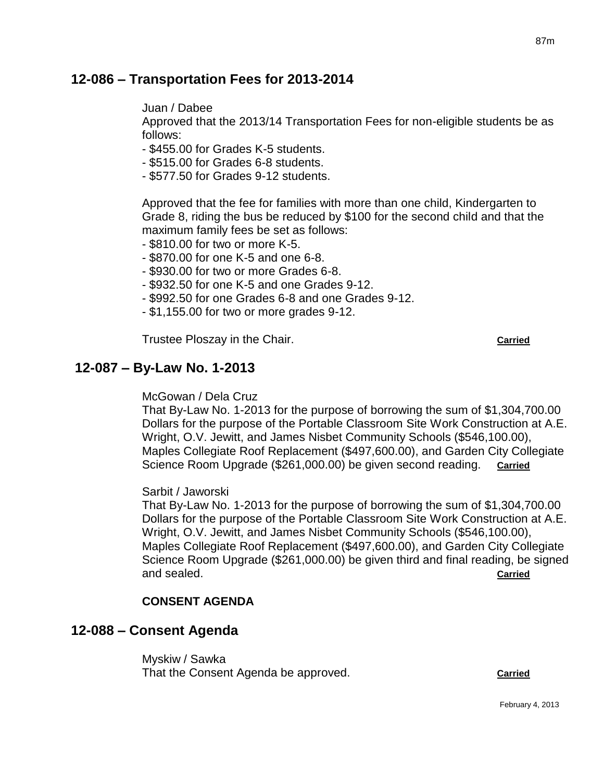# **12-086 – Transportation Fees for 2013-2014**

Juan / Dabee

Approved that the 2013/14 Transportation Fees for non-eligible students be as follows:

- \$455.00 for Grades K-5 students.

- \$515.00 for Grades 6-8 students.
- \$577.50 for Grades 9-12 students.

Approved that the fee for families with more than one child, Kindergarten to Grade 8, riding the bus be reduced by \$100 for the second child and that the maximum family fees be set as follows:

- \$810.00 for two or more K-5.
- \$870.00 for one K-5 and one 6-8.
- \$930.00 for two or more Grades 6-8.
- \$932.50 for one K-5 and one Grades 9-12.
- \$992.50 for one Grades 6-8 and one Grades 9-12.
- \$1,155.00 for two or more grades 9-12.

Trustee Ploszay in the Chair. **Carried Carried** 

# **12-087 – By-Law No. 1-2013**

McGowan / Dela Cruz

That By-Law No. 1-2013 for the purpose of borrowing the sum of \$1,304,700.00 Dollars for the purpose of the Portable Classroom Site Work Construction at A.E. Wright, O.V. Jewitt, and James Nisbet Community Schools (\$546,100.00), Maples Collegiate Roof Replacement (\$497,600.00), and Garden City Collegiate Science Room Upgrade (\$261,000.00) be given second reading. **Carried**

Sarbit / Jaworski

That By-Law No. 1-2013 for the purpose of borrowing the sum of \$1,304,700.00 Dollars for the purpose of the Portable Classroom Site Work Construction at A.E. Wright, O.V. Jewitt, and James Nisbet Community Schools (\$546,100.00), Maples Collegiate Roof Replacement (\$497,600.00), and Garden City Collegiate Science Room Upgrade (\$261,000.00) be given third and final reading, be signed and sealed. **Carried**

# **CONSENT AGENDA**

# **12-088 – Consent Agenda**

Myskiw / Sawka That the Consent Agenda be approved. **Carried**

87m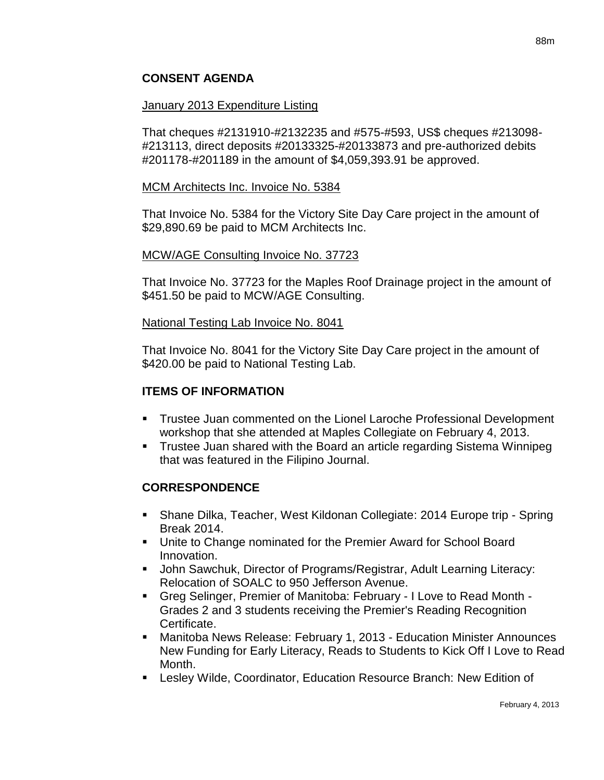# **CONSENT AGENDA**

## January 2013 Expenditure Listing

That cheques #2131910-#2132235 and #575-#593, US\$ cheques #213098- #213113, direct deposits #20133325-#20133873 and pre-authorized debits #201178-#201189 in the amount of \$4,059,393.91 be approved.

#### MCM Architects Inc. Invoice No. 5384

That Invoice No. 5384 for the Victory Site Day Care project in the amount of \$29,890.69 be paid to MCM Architects Inc.

## MCW/AGE Consulting Invoice No. 37723

That Invoice No. 37723 for the Maples Roof Drainage project in the amount of \$451.50 be paid to MCW/AGE Consulting.

## National Testing Lab Invoice No. 8041

That Invoice No. 8041 for the Victory Site Day Care project in the amount of \$420.00 be paid to National Testing Lab.

# **ITEMS OF INFORMATION**

- Trustee Juan commented on the Lionel Laroche Professional Development workshop that she attended at Maples Collegiate on February 4, 2013.
- Trustee Juan shared with the Board an article regarding Sistema Winnipeg that was featured in the Filipino Journal.

# **CORRESPONDENCE**

- Shane Dilka, Teacher, West Kildonan Collegiate: 2014 Europe trip Spring Break 2014.
- Unite to Change nominated for the Premier Award for School Board Innovation.
- John Sawchuk, Director of Programs/Registrar, Adult Learning Literacy: Relocation of SOALC to 950 Jefferson Avenue.
- Greg Selinger, Premier of Manitoba: February I Love to Read Month Grades 2 and 3 students receiving the Premier's Reading Recognition Certificate.
- Manitoba News Release: February 1, 2013 Education Minister Announces New Funding for Early Literacy, Reads to Students to Kick Off I Love to Read Month.
- Lesley Wilde, Coordinator, Education Resource Branch: New Edition of